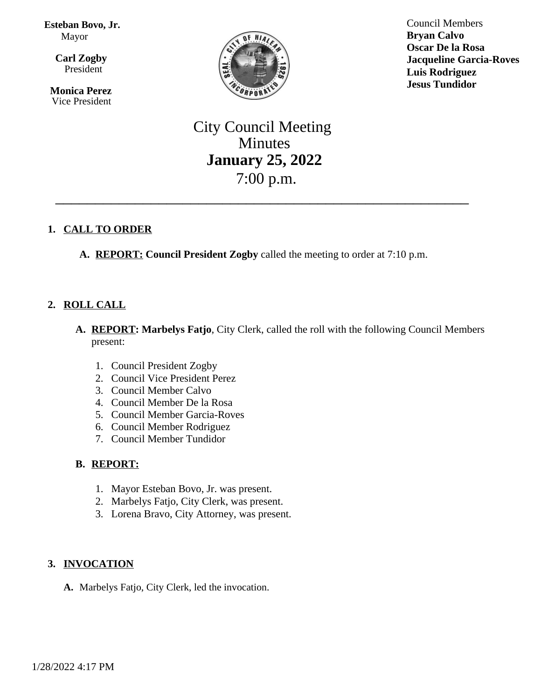#### **Esteban Bovo, Jr.** Mayor

 $\overline{a}$ **Carl Zogby** President

> **Monica Perez** Vice President



Council Members **Bryan Calvo Oscar De la Rosa Jacqueline Garcia-Roves Luis Rodriguez Jesus Tundidor**

# City Council Meeting Minutes **January 25, 2022** 7:00 p.m.

\_\_\_\_\_\_\_\_\_\_\_\_\_\_\_\_\_\_\_\_\_\_\_\_\_\_\_\_\_\_\_\_\_\_\_\_\_\_\_\_\_\_\_\_\_\_\_\_\_\_\_\_

# **1. CALL TO ORDER**

**A. REPORT: Council President Zogby** called the meeting to order at 7:10 p.m.

# **2. ROLL CALL**

- **A. REPORT: Marbelys Fatjo**, City Clerk, called the roll with the following Council Members present:
	- 1. Council President Zogby
	- 2. Council Vice President Perez
	- 3. Council Member Calvo
	- 4. Council Member De la Rosa
	- 5. Council Member Garcia-Roves
	- 6. Council Member Rodriguez
	- 7. Council Member Tundidor

# **B. REPORT:**

- 1. Mayor Esteban Bovo, Jr. was present.
- 2. Marbelys Fatjo, City Clerk, was present.
- 3. Lorena Bravo, City Attorney, was present.

# **3. INVOCATION**

**A.** Marbelys Fatjo, City Clerk, led the invocation.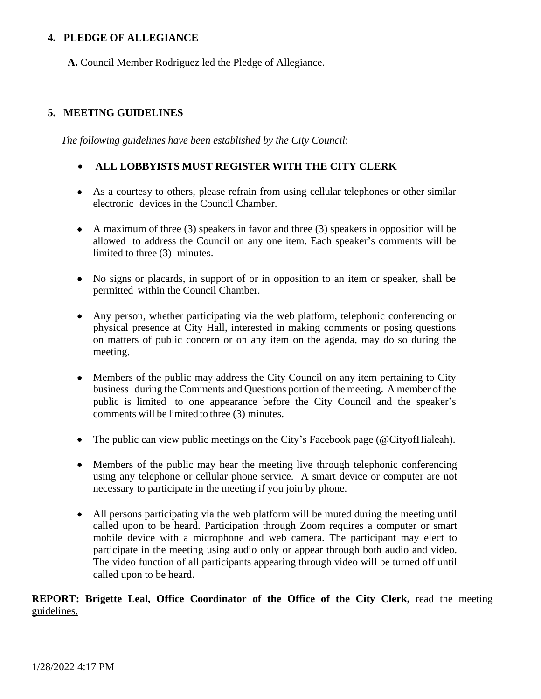# **4. PLEDGE OF ALLEGIANCE**

**A.** Council Member Rodriguez led the Pledge of Allegiance.

#### **5. MEETING GUIDELINES**

*The following guidelines have been established by the City Council*:

#### **ALL LOBBYISTS MUST REGISTER WITH THE CITY CLERK**

- As a courtesy to others, please refrain from using cellular telephones or other similar electronic devices in the Council Chamber.
- $\bullet$  A maximum of three (3) speakers in favor and three (3) speakers in opposition will be allowed to address the Council on any one item. Each speaker's comments will be limited to three (3) minutes.
- No signs or placards, in support of or in opposition to an item or speaker, shall be permitted within the Council Chamber.
- Any person, whether participating via the web platform, telephonic conferencing or physical presence at City Hall, interested in making comments or posing questions on matters of public concern or on any item on the agenda, may do so during the meeting.
- Members of the public may address the City Council on any item pertaining to City business during the Comments and Questions portion of the meeting. A member of the public is limited to one appearance before the City Council and the speaker's comments will be limited to three (3) minutes.
- The public can view public meetings on the City's Facebook page (@CityofHialeah).
- Members of the public may hear the meeting live through telephonic conferencing using any telephone or cellular phone service. A smart device or computer are not necessary to participate in the meeting if you join by phone.
- All persons participating via the web platform will be muted during the meeting until called upon to be heard. Participation through Zoom requires a computer or smart mobile device with a microphone and web camera. The participant may elect to participate in the meeting using audio only or appear through both audio and video. The video function of all participants appearing through video will be turned off until called upon to be heard.

# **REPORT: Brigette Leal, Office Coordinator of the Office of the City Clerk,** read the meeting guidelines.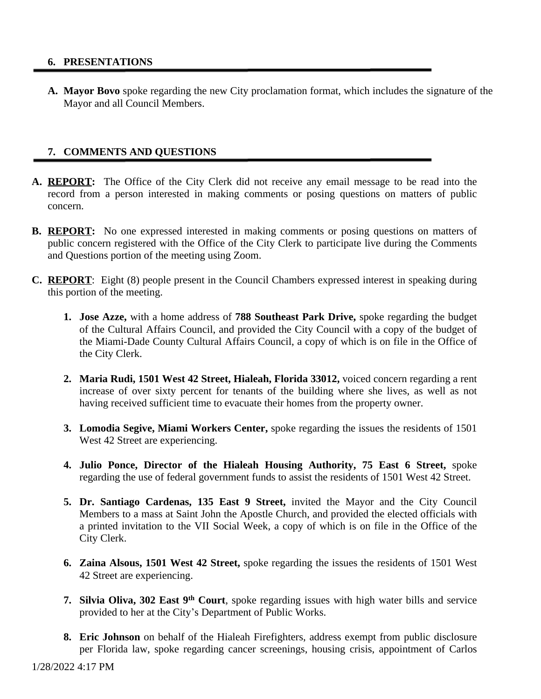#### **6. PRESENTATIONS**

**A. Mayor Bovo** spoke regarding the new City proclamation format, which includes the signature of the Mayor and all Council Members.

#### **7. COMMENTS AND QUESTIONS**

- **A. REPORT:** The Office of the City Clerk did not receive any email message to be read into the record from a person interested in making comments or posing questions on matters of public concern.
- **B. REPORT:** No one expressed interested in making comments or posing questions on matters of public concern registered with the Office of the City Clerk to participate live during the Comments and Questions portion of the meeting using Zoom.
- **C. REPORT**: Eight (8) people present in the Council Chambers expressed interest in speaking during this portion of the meeting.
	- **1. Jose Azze,** with a home address of **788 Southeast Park Drive,** spoke regarding the budget of the Cultural Affairs Council, and provided the City Council with a copy of the budget of the Miami-Dade County Cultural Affairs Council, a copy of which is on file in the Office of the City Clerk.
	- **2. Maria Rudi, 1501 West 42 Street, Hialeah, Florida 33012,** voiced concern regarding a rent increase of over sixty percent for tenants of the building where she lives, as well as not having received sufficient time to evacuate their homes from the property owner.
	- **3. Lomodia Segive, Miami Workers Center,** spoke regarding the issues the residents of 1501 West 42 Street are experiencing.
	- **4. Julio Ponce, Director of the Hialeah Housing Authority, 75 East 6 Street,** spoke regarding the use of federal government funds to assist the residents of 1501 West 42 Street.
	- **5. Dr. Santiago Cardenas, 135 East 9 Street,** invited the Mayor and the City Council Members to a mass at Saint John the Apostle Church, and provided the elected officials with a printed invitation to the VII Social Week, a copy of which is on file in the Office of the City Clerk.
	- **6. Zaina Alsous, 1501 West 42 Street,** spoke regarding the issues the residents of 1501 West 42 Street are experiencing.
	- **7. Silvia Oliva, 302 East 9 th Court**, spoke regarding issues with high water bills and service provided to her at the City's Department of Public Works.
	- **8. Eric Johnson** on behalf of the Hialeah Firefighters, address exempt from public disclosure per Florida law, spoke regarding cancer screenings, housing crisis, appointment of Carlos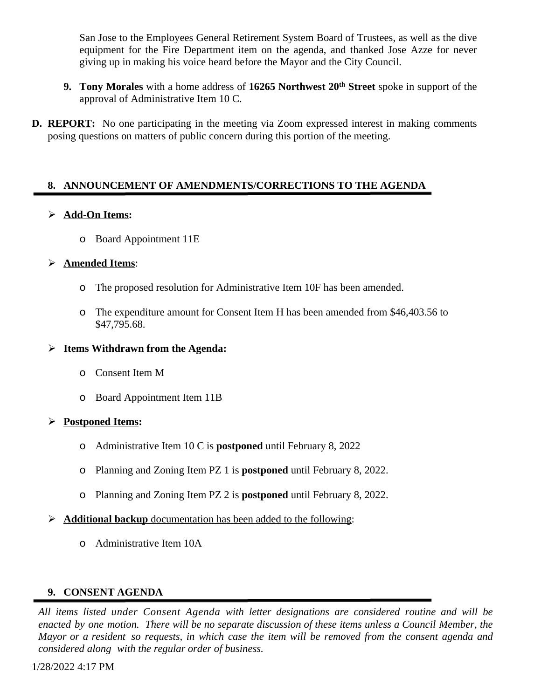San Jose to the Employees General Retirement System Board of Trustees, as well as the dive equipment for the Fire Department item on the agenda, and thanked Jose Azze for never giving up in making his voice heard before the Mayor and the City Council.

- **9. Tony Morales** with a home address of **16265 Northwest 20th Street** spoke in support of the approval of Administrative Item 10 C.
- **D. REPORT:** No one participating in the meeting via Zoom expressed interest in making comments posing questions on matters of public concern during this portion of the meeting.

#### **8. ANNOUNCEMENT OF AMENDMENTS/CORRECTIONS TO THE AGENDA**

#### **Add-On Items:**

o Board Appointment 11E

#### **Amended Items**:

- o The proposed resolution for Administrative Item 10F has been amended.
- o The expenditure amount for Consent Item H has been amended from \$46,403.56 to \$47,795.68.

#### **Items Withdrawn from the Agenda:**

- o Consent Item M
- o Board Appointment Item 11B

# **Postponed Items:**

- o Administrative Item 10 C is **postponed** until February 8, 2022
- o Planning and Zoning Item PZ 1 is **postponed** until February 8, 2022.
- o Planning and Zoning Item PZ 2 is **postponed** until February 8, 2022.
- **Additional backup** documentation has been added to the following:
	- o Administrative Item 10A

# **9. CONSENT AGENDA**

*All items listed under Consent Agenda with letter designations are considered routine and will be* enacted by one motion. There will be no separate discussion of these items unless a Council Member, the Mayor or a resident so requests, in which case the item will be removed from the consent agenda and *considered along with the regular order of business.*

1/28/2022 4:17 PM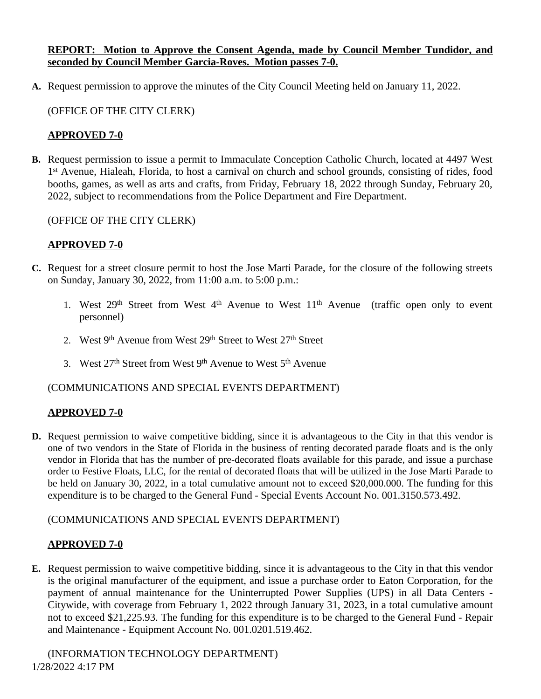#### **REPORT: Motion to Approve the Consent Agenda, made by Council Member Tundidor, and seconded by Council Member Garcia-Roves. Motion passes 7-0.**

**A.** Request permission to approve the minutes of the City Council Meeting held on January 11, 2022.

# (OFFICE OF THE CITY CLERK)

# **APPROVED 7-0**

**B.** Request permission to issue a permit to Immaculate Conception Catholic Church, located at 4497 West 1<sup>st</sup> Avenue, Hialeah, Florida, to host a carnival on church and school grounds, consisting of rides, food booths, games, as well as arts and crafts, from Friday, February 18, 2022 through Sunday, February 20, 2022, subject to recommendations from the Police Department and Fire Department.

# (OFFICE OF THE CITY CLERK)

# **APPROVED 7-0**

- **C.** Request for a street closure permit to host the Jose Marti Parade, for the closure of the following streets on Sunday, January 30, 2022, from 11:00 a.m. to 5:00 p.m.:
	- 1. West 29<sup>th</sup> Street from West 4<sup>th</sup> Avenue to West 11<sup>th</sup> Avenue (traffic open only to event personnel)
	- 2. West 9<sup>th</sup> Avenue from West 29<sup>th</sup> Street to West 27<sup>th</sup> Street
	- 3. West  $27<sup>th</sup>$  Street from West  $9<sup>th</sup>$  Avenue to West  $5<sup>th</sup>$  Avenue

# (COMMUNICATIONS AND SPECIAL EVENTS DEPARTMENT)

# **APPROVED 7-0**

**D.** Request permission to waive competitive bidding, since it is advantageous to the City in that this vendor is one of two vendors in the State of Florida in the business of renting decorated parade floats and is the only vendor in Florida that has the number of pre-decorated floats available for this parade, and issue a purchase order to Festive Floats, LLC, for the rental of decorated floats that will be utilized in the Jose Marti Parade to be held on January 30, 2022, in a total cumulative amount not to exceed \$20,000.000. The funding for this expenditure is to be charged to the General Fund - Special Events Account No. 001.3150.573.492.

# (COMMUNICATIONS AND SPECIAL EVENTS DEPARTMENT)

# **APPROVED 7-0**

**E.** Request permission to waive competitive bidding, since it is advantageous to the City in that this vendor is the original manufacturer of the equipment, and issue a purchase order to Eaton Corporation, for the payment of annual maintenance for the Uninterrupted Power Supplies (UPS) in all Data Centers - Citywide, with coverage from February 1, 2022 through January 31, 2023, in a total cumulative amount not to exceed \$21,225.93. The funding for this expenditure is to be charged to the General Fund - Repair and Maintenance - Equipment Account No. 001.0201.519.462.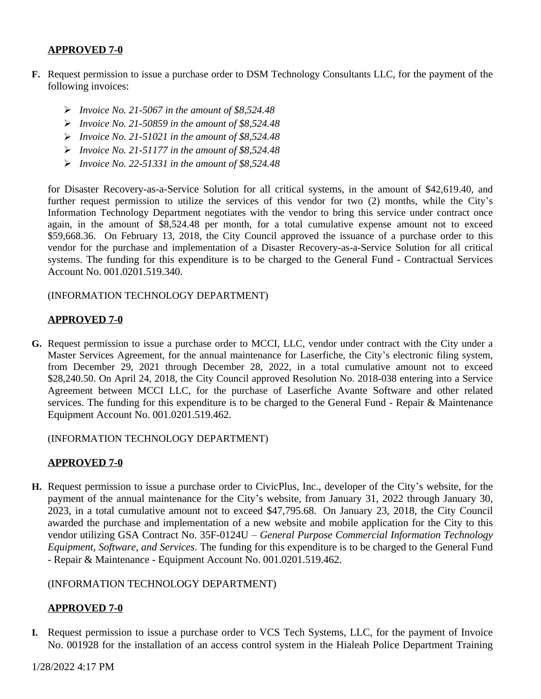- **F.** Request permission to issue a purchase order to DSM Technology Consultants LLC, for the payment of the following invoices:
	- *Invoice No. 21-5067 in the amount of \$8,524.48*
	- *Invoice No. 21-50859 in the amount of \$8,524.48*
	- *Invoice No. 21-51021 in the amount of \$8,524.48*
	- *Invoice No. 21-51177 in the amount of \$8,524.48*
	- *Invoice No. 22-51331 in the amount of \$8,524.48*

for Disaster Recovery-as-a-Service Solution for all critical systems, in the amount of \$42,619.40, and further request permission to utilize the services of this vendor for two (2) months, while the City's Information Technology Department negotiates with the vendor to bring this service under contract once again, in the amount of \$8,524.48 per month, for a total cumulative expense amount not to exceed \$59,668.36. On February 13, 2018, the City Council approved the issuance of a purchase order to this vendor for the purchase and implementation of a Disaster Recovery-as-a-Service Solution for all critical systems. The funding for this expenditure is to be charged to the General Fund - Contractual Services Account No. 001.0201.519.340.

(INFORMATION TECHNOLOGY DEPARTMENT)

#### **APPROVED 7-0**

**G.** Request permission to issue a purchase order to MCCI, LLC, vendor under contract with the City under a Master Services Agreement, for the annual maintenance for Laserfiche, the City's electronic filing system, from December 29, 2021 through December 28, 2022, in a total cumulative amount not to exceed \$28,240.50. On April 24, 2018, the City Council approved Resolution No. 2018-038 entering into a Service Agreement between MCCI LLC, for the purchase of Laserfiche Avante Software and other related services. The funding for this expenditure is to be charged to the General Fund - Repair & Maintenance Equipment Account No. 001.0201.519.462.

(INFORMATION TECHNOLOGY DEPARTMENT)

#### **APPROVED 7-0**

**H.** Request permission to issue a purchase order to CivicPlus, Inc., developer of the City's website, for the payment of the annual maintenance for the City's website, from January 31, 2022 through January 30, 2023, in a total cumulative amount not to exceed \$47,795.68. On January 23, 2018, the City Council awarded the purchase and implementation of a new website and mobile application for the City to this vendor utilizing GSA Contract No. 35F-0124U – *General Purpose Commercial Information Technology Equipment, Software, and Services*. The funding for this expenditure is to be charged to the General Fund - Repair & Maintenance - Equipment Account No. 001.0201.519.462.

#### (INFORMATION TECHNOLOGY DEPARTMENT)

#### **APPROVED 7-0**

**I.** Request permission to issue a purchase order to VCS Tech Systems, LLC, for the payment of Invoice No. 001928 for the installation of an access control system in the Hialeah Police Department Training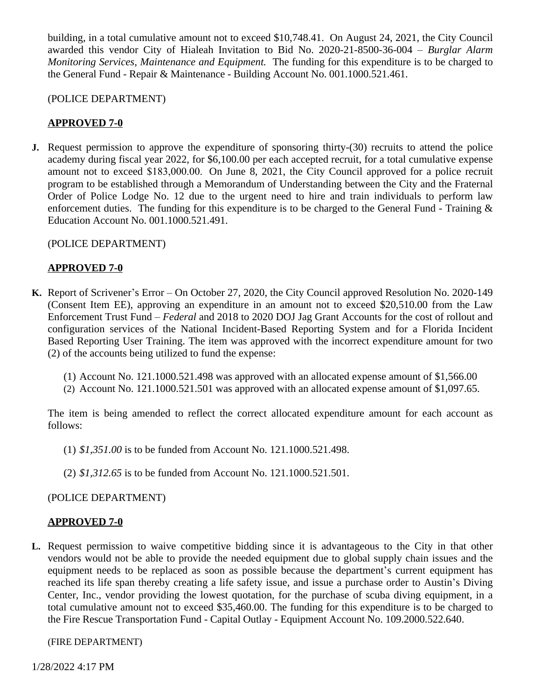building, in a total cumulative amount not to exceed \$10,748.41. On August 24, 2021, the City Council awarded this vendor City of Hialeah Invitation to Bid No. 2020-21-8500-36-004 – *Burglar Alarm Monitoring Services, Maintenance and Equipment.* The funding for this expenditure is to be charged to the General Fund - Repair & Maintenance - Building Account No. 001.1000.521.461.

#### (POLICE DEPARTMENT)

# **APPROVED 7-0**

**J.** Request permission to approve the expenditure of sponsoring thirty-(30) recruits to attend the police academy during fiscal year 2022, for \$6,100.00 per each accepted recruit, for a total cumulative expense amount not to exceed \$183,000.00. On June 8, 2021, the City Council approved for a police recruit program to be established through a Memorandum of Understanding between the City and the Fraternal Order of Police Lodge No. 12 due to the urgent need to hire and train individuals to perform law enforcement duties. The funding for this expenditure is to be charged to the General Fund - Training & Education Account No. 001.1000.521.491.

# (POLICE DEPARTMENT)

# **APPROVED 7-0**

- **K.** Report of Scrivener's Error On October 27, 2020, the City Council approved Resolution No. 2020-149 (Consent Item EE), approving an expenditure in an amount not to exceed \$20,510.00 from the Law Enforcement Trust Fund – *Federal* and 2018 to 2020 DOJ Jag Grant Accounts for the cost of rollout and configuration services of the National Incident-Based Reporting System and for a Florida Incident Based Reporting User Training. The item was approved with the incorrect expenditure amount for two (2) of the accounts being utilized to fund the expense:
	- (1) Account No. 121.1000.521.498 was approved with an allocated expense amount of \$1,566.00
	- (2) Account No. 121.1000.521.501 was approved with an allocated expense amount of \$1,097.65.

The item is being amended to reflect the correct allocated expenditure amount for each account as follows:

- (1) *\$1,351.00* is to be funded from Account No. 121.1000.521.498.
- (2) *\$1,312.65* is to be funded from Account No. 121.1000.521.501.

# (POLICE DEPARTMENT)

# **APPROVED 7-0**

**L.** Request permission to waive competitive bidding since it is advantageous to the City in that other vendors would not be able to provide the needed equipment due to global supply chain issues and the equipment needs to be replaced as soon as possible because the department's current equipment has reached its life span thereby creating a life safety issue, and issue a purchase order to Austin's Diving Center, Inc., vendor providing the lowest quotation, for the purchase of scuba diving equipment, in a total cumulative amount not to exceed \$35,460.00. The funding for this expenditure is to be charged to the Fire Rescue Transportation Fund - Capital Outlay - Equipment Account No. 109.2000.522.640.

(FIRE DEPARTMENT)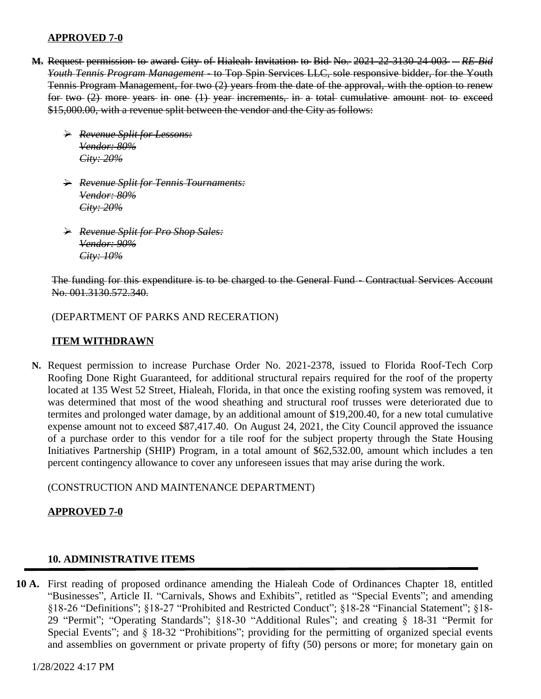- **M.** Request permission to award City of Hialeah Invitation to Bid No. 2021-22-3130-24-003 *RE-Bid Youth Tennis Program Management -* to Top Spin Services LLC, sole responsive bidder, for the Youth Tennis Program Management, for two (2) years from the date of the approval, with the option to renew for two (2) more years in one (1) year increments, in a total cumulative amount not to exceed \$15,000.00, with a revenue split between the vendor and the City as follows:
	- *Revenue Split for Lessons: Vendor: 80% City: 20%*
	- *Revenue Split for Tennis Tournaments: Vendor: 80% City: 20%*
	- *Revenue Split for Pro Shop Sales: Vendor: 90% City: 10%*

The funding for this expenditure is to be charged to the General Fund - Contractual Services Account No. 001.3130.572.340.

(DEPARTMENT OF PARKS AND RECERATION)

# **ITEM WITHDRAWN**

**N.** Request permission to increase Purchase Order No. 2021-2378, issued to Florida Roof-Tech Corp Roofing Done Right Guaranteed, for additional structural repairs required for the roof of the property located at 135 West 52 Street, Hialeah, Florida, in that once the existing roofing system was removed, it was determined that most of the wood sheathing and structural roof trusses were deteriorated due to termites and prolonged water damage, by an additional amount of \$19,200.40, for a new total cumulative expense amount not to exceed \$87,417.40. On August 24, 2021, the City Council approved the issuance of a purchase order to this vendor for a tile roof for the subject property through the State Housing Initiatives Partnership (SHIP) Program, in a total amount of \$62,532.00, amount which includes a ten percent contingency allowance to cover any unforeseen issues that may arise during the work.

(CONSTRUCTION AND MAINTENANCE DEPARTMENT)

#### **APPROVED 7-0**

#### **10. ADMINISTRATIVE ITEMS**

**10 A.** First reading of proposed ordinance amending the Hialeah Code of Ordinances Chapter 18, entitled "Businesses", Article II. "Carnivals, Shows and Exhibits", retitled as "Special Events"; and amending §18-26 "Definitions"; §18-27 "Prohibited and Restricted Conduct"; §18-28 "Financial Statement"; §18-29 "Permit"; "Operating Standards"; §18-30 "Additional Rules"; and creating § 18-31 "Permit for Special Events"; and § 18-32 "Prohibitions"; providing for the permitting of organized special events and assemblies on government or private property of fifty (50) persons or more; for monetary gain on

1/28/2022 4:17 PM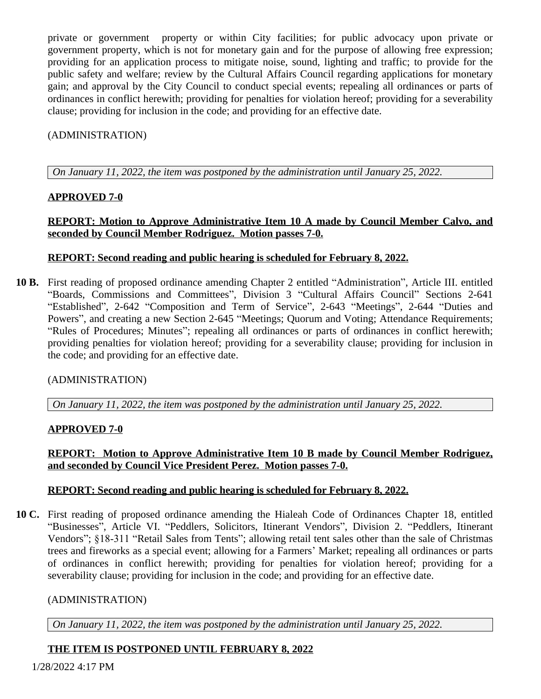private or government property or within City facilities; for public advocacy upon private or government property, which is not for monetary gain and for the purpose of allowing free expression; providing for an application process to mitigate noise, sound, lighting and traffic; to provide for the public safety and welfare; review by the Cultural Affairs Council regarding applications for monetary gain; and approval by the City Council to conduct special events; repealing all ordinances or parts of ordinances in conflict herewith; providing for penalties for violation hereof; providing for a severability clause; providing for inclusion in the code; and providing for an effective date.

# (ADMINISTRATION)

*On January 11, 2022, the item was postponed by the administration until January 25, 2022.*

# **APPROVED 7-0**

# **REPORT: Motion to Approve Administrative Item 10 A made by Council Member Calvo, and seconded by Council Member Rodriguez. Motion passes 7-0.**

# **REPORT: Second reading and public hearing is scheduled for February 8, 2022.**

**10 B.** First reading of proposed ordinance amending Chapter 2 entitled "Administration", Article III. entitled "Boards, Commissions and Committees", Division 3 "Cultural Affairs Council" Sections 2-641 "Established", 2-642 "Composition and Term of Service", 2-643 "Meetings", 2-644 "Duties and Powers", and creating a new Section 2-645 "Meetings; Quorum and Voting; Attendance Requirements; "Rules of Procedures; Minutes"; repealing all ordinances or parts of ordinances in conflict herewith; providing penalties for violation hereof; providing for a severability clause; providing for inclusion in the code; and providing for an effective date.

# (ADMINISTRATION)

*On January 11, 2022, the item was postponed by the administration until January 25, 2022.*

# **APPROVED 7-0**

# **REPORT: Motion to Approve Administrative Item 10 B made by Council Member Rodriguez, and seconded by Council Vice President Perez. Motion passes 7-0.**

# **REPORT: Second reading and public hearing is scheduled for February 8, 2022.**

**10 C.** First reading of proposed ordinance amending the Hialeah Code of Ordinances Chapter 18, entitled "Businesses", Article VI. "Peddlers, Solicitors, Itinerant Vendors", Division 2. "Peddlers, Itinerant Vendors"; §18-311 "Retail Sales from Tents"; allowing retail tent sales other than the sale of Christmas trees and fireworks as a special event; allowing for a Farmers' Market; repealing all ordinances or parts of ordinances in conflict herewith; providing for penalties for violation hereof; providing for a severability clause; providing for inclusion in the code; and providing for an effective date.

# (ADMINISTRATION)

*On January 11, 2022, the item was postponed by the administration until January 25, 2022.*

# **THE ITEM IS POSTPONED UNTIL FEBRUARY 8, 2022**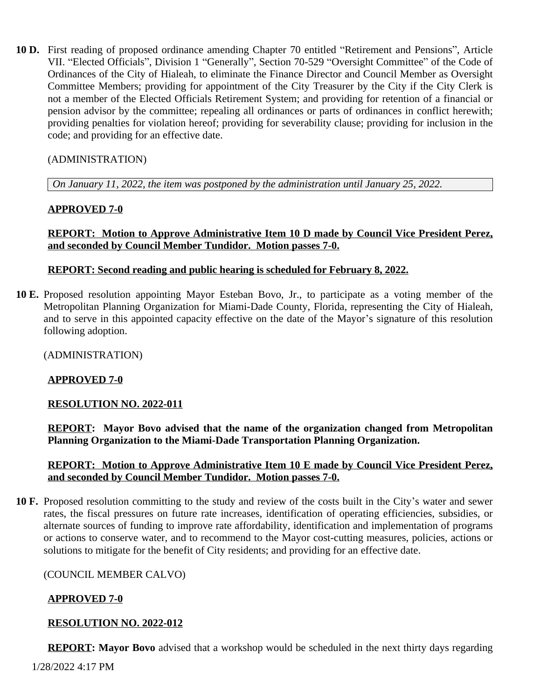**10 D.** First reading of proposed ordinance amending Chapter 70 entitled "Retirement and Pensions", Article VII. "Elected Officials", Division 1 "Generally", Section 70-529 "Oversight Committee" of the Code of Ordinances of the City of Hialeah, to eliminate the Finance Director and Council Member as Oversight Committee Members; providing for appointment of the City Treasurer by the City if the City Clerk is not a member of the Elected Officials Retirement System; and providing for retention of a financial or pension advisor by the committee; repealing all ordinances or parts of ordinances in conflict herewith; providing penalties for violation hereof; providing for severability clause; providing for inclusion in the code; and providing for an effective date.

# (ADMINISTRATION)

*On January 11, 2022, the item was postponed by the administration until January 25, 2022.*

# **APPROVED 7-0**

#### **REPORT: Motion to Approve Administrative Item 10 D made by Council Vice President Perez, and seconded by Council Member Tundidor. Motion passes 7-0.**

#### **REPORT: Second reading and public hearing is scheduled for February 8, 2022.**

**10 E.** Proposed resolution appointing Mayor Esteban Bovo, Jr., to participate as a voting member of the Metropolitan Planning Organization for Miami-Dade County, Florida, representing the City of Hialeah, and to serve in this appointed capacity effective on the date of the Mayor's signature of this resolution following adoption.

(ADMINISTRATION)

# **APPROVED 7-0**

#### **RESOLUTION NO. 2022-011**

**REPORT: Mayor Bovo advised that the name of the organization changed from Metropolitan Planning Organization to the Miami-Dade Transportation Planning Organization.**

#### **REPORT: Motion to Approve Administrative Item 10 E made by Council Vice President Perez, and seconded by Council Member Tundidor. Motion passes 7-0.**

**10 F.** Proposed resolution committing to the study and review of the costs built in the City's water and sewer rates, the fiscal pressures on future rate increases, identification of operating efficiencies, subsidies, or alternate sources of funding to improve rate affordability, identification and implementation of programs or actions to conserve water, and to recommend to the Mayor cost-cutting measures, policies, actions or solutions to mitigate for the benefit of City residents; and providing for an effective date.

#### (COUNCIL MEMBER CALVO)

# **APPROVED 7-0**

#### **RESOLUTION NO. 2022-012**

**REPORT: Mayor Bovo** advised that a workshop would be scheduled in the next thirty days regarding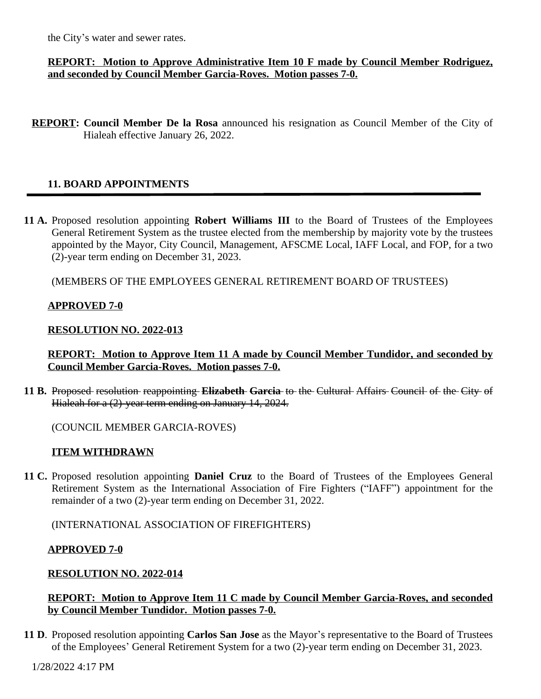the City's water and sewer rates.

#### **REPORT: Motion to Approve Administrative Item 10 F made by Council Member Rodriguez, and seconded by Council Member Garcia-Roves. Motion passes 7-0.**

**REPORT: Council Member De la Rosa** announced his resignation as Council Member of the City of Hialeah effective January 26, 2022.

# **11. BOARD APPOINTMENTS**

**11 A.** Proposed resolution appointing **Robert Williams III** to the Board of Trustees of the Employees General Retirement System as the trustee elected from the membership by majority vote by the trustees appointed by the Mayor, City Council, Management, AFSCME Local, IAFF Local, and FOP, for a two (2)-year term ending on December 31, 2023.

(MEMBERS OF THE EMPLOYEES GENERAL RETIREMENT BOARD OF TRUSTEES)

#### **APPROVED 7-0**

#### **RESOLUTION NO. 2022-013**

**REPORT: Motion to Approve Item 11 A made by Council Member Tundidor, and seconded by Council Member Garcia-Roves. Motion passes 7-0.**

**11 B.** Proposed resolution reappointing **Elizabeth Garcia** to the Cultural Affairs Council of the City of Hialeah for a (2)-year term ending on January 14, 2024.

(COUNCIL MEMBER GARCIA-ROVES)

#### **ITEM WITHDRAWN**

**11 C.** Proposed resolution appointing **Daniel Cruz** to the Board of Trustees of the Employees General Retirement System as the International Association of Fire Fighters ("IAFF") appointment for the remainder of a two (2)-year term ending on December 31, 2022.

(INTERNATIONAL ASSOCIATION OF FIREFIGHTERS)

#### **APPROVED 7-0**

# **RESOLUTION NO. 2022-014**

#### **REPORT: Motion to Approve Item 11 C made by Council Member Garcia-Roves, and seconded by Council Member Tundidor. Motion passes 7-0.**

**11 D**. Proposed resolution appointing **Carlos San Jose** as the Mayor's representative to the Board of Trustees of the Employees' General Retirement System for a two (2)-year term ending on December 31, 2023.

1/28/2022 4:17 PM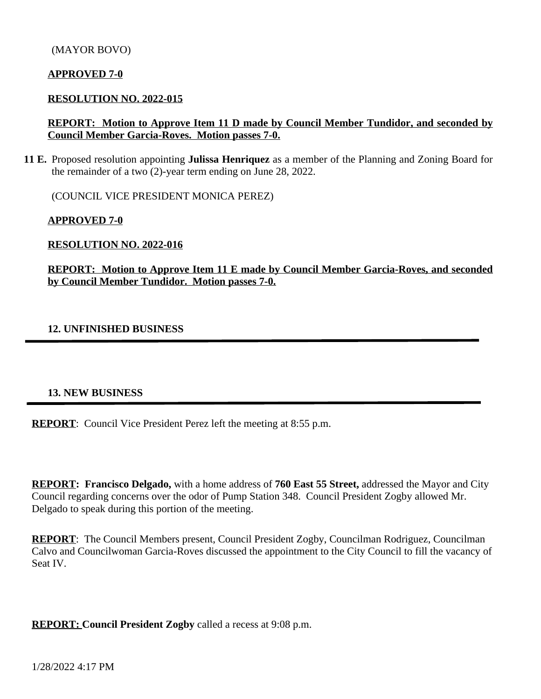#### **RESOLUTION NO. 2022-015**

#### **REPORT: Motion to Approve Item 11 D made by Council Member Tundidor, and seconded by Council Member Garcia-Roves. Motion passes 7-0.**

**11 E.** Proposed resolution appointing **Julissa Henriquez** as a member of the Planning and Zoning Board for the remainder of a two (2)-year term ending on June 28, 2022.

(COUNCIL VICE PRESIDENT MONICA PEREZ)

**APPROVED 7-0**

**RESOLUTION NO. 2022-016**

**REPORT: Motion to Approve Item 11 E made by Council Member Garcia-Roves, and seconded by Council Member Tundidor. Motion passes 7-0.**

#### **12. UNFINISHED BUSINESS**

#### **13. NEW BUSINESS**

**REPORT:** Council Vice President Perez left the meeting at 8:55 p.m.

**REPORT: Francisco Delgado,** with a home address of **760 East 55 Street,** addressed the Mayor and City Council regarding concerns over the odor of Pump Station 348. Council President Zogby allowed Mr. Delgado to speak during this portion of the meeting.

**REPORT**: The Council Members present, Council President Zogby, Councilman Rodriguez, Councilman Calvo and Councilwoman Garcia-Roves discussed the appointment to the City Council to fill the vacancy of Seat IV.

**REPORT: Council President Zogby** called a recess at 9:08 p.m.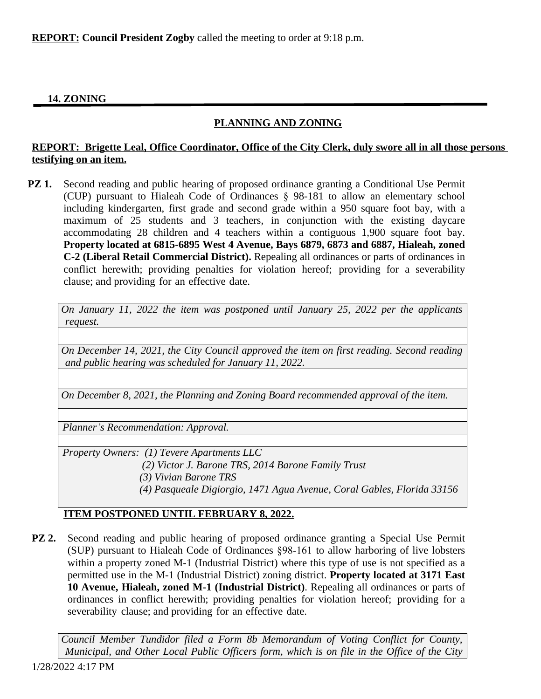**REPORT: Council President Zogby** called the meeting to order at 9:18 p.m.

# **14. ZONING**

# **PLANNING AND ZONING**

#### **REPORT: Brigette Leal, Office Coordinator, Office of the City Clerk, duly swore all in all those persons testifying on an item.**

**PZ 1.** Second reading and public hearing of proposed ordinance granting a Conditional Use Permit (CUP) pursuant to Hialeah Code of Ordinances § 98-181 to allow an elementary school including kindergarten, first grade and second grade within a 950 square foot bay, with a maximum of 25 students and 3 teachers, in conjunction with the existing daycare accommodating 28 children and 4 teachers within a contiguous 1,900 square foot bay. **Property located at 6815-6895 West 4 Avenue, Bays 6879, 6873 and 6887, Hialeah, zoned C-2 (Liberal Retail Commercial District).** Repealing all ordinances or parts of ordinances in conflict herewith; providing penalties for violation hereof; providing for a severability clause; and providing for an effective date.

*On January 11, 2022 the item was postponed until January 25, 2022 per the applicants request.*

*On December 14, 2021, the City Council approved the item on first reading. Second reading and public hearing was scheduled for January 11, 2022.*

*On December 8, 2021, the Planning and Zoning Board recommended approval of the item.*

*Planner's Recommendation: Approval.*

*Property Owners: (1) Tevere Apartments LLC*

 *(2) Victor J. Barone TRS, 2014 Barone Family Trust*

- *(3) Vivian Barone TRS*
- *(4) Pasqueale Digiorgio, 1471 Agua Avenue, Coral Gables, Florida 33156*

# **ITEM POSTPONED UNTIL FEBRUARY 8, 2022.**

**PZ 2.** Second reading and public hearing of proposed ordinance granting a Special Use Permit (SUP) pursuant to Hialeah Code of Ordinances §98-161 to allow harboring of live lobsters within a property zoned M-1 (Industrial District) where this type of use is not specified as a permitted use in the M-1 (Industrial District) zoning district. **Property located at 3171 East 10 Avenue, Hialeah, zoned M-1 (Industrial District)**. Repealing all ordinances or parts of ordinances in conflict herewith; providing penalties for violation hereof; providing for a severability clause; and providing for an effective date.

*Council Member Tundidor filed a Form 8b Memorandum of Voting Conflict for County, Municipal, and Other Local Public Officers form, which is on file in the Office of the City*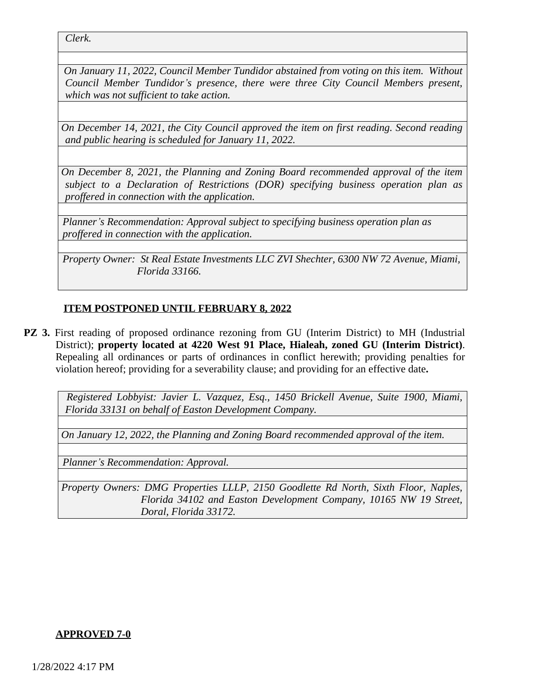*Clerk.*

*On January 11, 2022, Council Member Tundidor abstained from voting on this item. Without Council Member Tundidor's presence, there were three City Council Members present, which was not sufficient to take action.*

*On December 14, 2021, the City Council approved the item on first reading. Second reading and public hearing is scheduled for January 11, 2022.*

*On December 8, 2021, the Planning and Zoning Board recommended approval of the item subject to a Declaration of Restrictions (DOR) specifying business operation plan as proffered in connection with the application.*

*Planner's Recommendation: Approval subject to specifying business operation plan as proffered in connection with the application.*

*Property Owner: St Real Estate Investments LLC ZVI Shechter, 6300 NW 72 Avenue, Miami, Florida 33166.*

# **ITEM POSTPONED UNTIL FEBRUARY 8, 2022**

**PZ 3.** First reading of proposed ordinance rezoning from GU (Interim District) to MH (Industrial District); **property located at 4220 West 91 Place, Hialeah, zoned GU (Interim District)**. Repealing all ordinances or parts of ordinances in conflict herewith; providing penalties for violation hereof; providing for a severability clause; and providing for an effective date**.**

*Registered Lobbyist: Javier L. Vazquez, Esq., 1450 Brickell Avenue, Suite 1900, Miami, Florida 33131 on behalf of Easton Development Company.*

*On January 12, 2022, the Planning and Zoning Board recommended approval of the item.*

*Planner's Recommendation: Approval.*

*Property Owners: DMG Properties LLLP, 2150 Goodlette Rd North, Sixth Floor, Naples, Florida 34102 and Easton Development Company, 10165 NW 19 Street, Doral, Florida 33172.*

#### **APPROVED 7-0**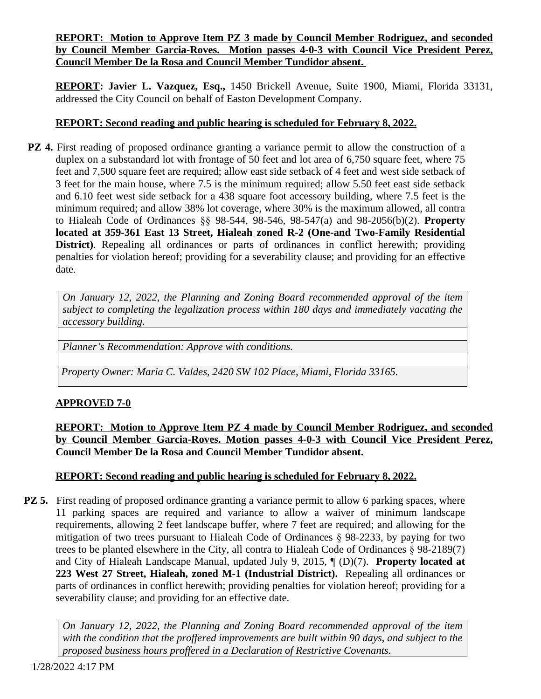# **REPORT: Motion to Approve Item PZ 3 made by Council Member Rodriguez, and seconded by Council Member Garcia-Roves. Motion passes 4-0-3 with Council Vice President Perez, Council Member De la Rosa and Council Member Tundidor absent.**

**REPORT: Javier L. Vazquez, Esq.,** 1450 Brickell Avenue, Suite 1900, Miami, Florida 33131, addressed the City Council on behalf of Easton Development Company.

# **REPORT: Second reading and public hearing is scheduled for February 8, 2022.**

**PZ 4.** First reading of proposed ordinance granting a variance permit to allow the construction of a duplex on a substandard lot with frontage of 50 feet and lot area of 6,750 square feet, where 75 feet and 7,500 square feet are required; allow east side setback of 4 feet and west side setback of 3 feet for the main house, where 7.5 is the minimum required; allow 5.50 feet east side setback and 6.10 feet west side setback for a 438 square foot accessory building, where 7.5 feet is the minimum required; and allow 38% lot coverage, where 30% is the maximum allowed, all contra to Hialeah Code of Ordinances §§ 98-544, 98-546, 98-547(a) and 98-2056(b)(2). **Property located at 359-361 East 13 Street, Hialeah zoned R-2 (One-and Two-Family Residential District**). Repealing all ordinances or parts of ordinances in conflict herewith; providing penalties for violation hereof; providing for a severability clause; and providing for an effective date.

*On January 12, 2022, the Planning and Zoning Board recommended approval of the item subject to completing the legalization process within 180 days and immediately vacating the accessory building.*

*Planner's Recommendation: Approve with conditions.*

*Property Owner: Maria C. Valdes, 2420 SW 102 Place, Miami, Florida 33165.*

# **APPROVED 7-0**

**REPORT: Motion to Approve Item PZ 4 made by Council Member Rodriguez, and seconded by Council Member Garcia-Roves. Motion passes 4-0-3 with Council Vice President Perez, Council Member De la Rosa and Council Member Tundidor absent.**

# **REPORT: Second reading and public hearing is scheduled for February 8, 2022.**

**PZ 5.** First reading of proposed ordinance granting a variance permit to allow 6 parking spaces, where 11 parking spaces are required and variance to allow a waiver of minimum landscape requirements, allowing 2 feet landscape buffer, where 7 feet are required; and allowing for the mitigation of two trees pursuant to Hialeah Code of Ordinances § 98-2233, by paying for two trees to be planted elsewhere in the City, all contra to Hialeah Code of Ordinances § 98-2189(7) and City of Hialeah Landscape Manual, updated July 9, 2015, ¶ (D)(7). **Property located at 223 West 27 Street, Hialeah, zoned M-1 (Industrial District).** Repealing all ordinances or parts of ordinances in conflict herewith; providing penalties for violation hereof; providing for a severability clause; and providing for an effective date.

*On January 12, 2022, the Planning and Zoning Board recommended approval of the item with the condition that the proffered improvements are built within 90 days, and subject to the proposed business hours proffered in a Declaration of Restrictive Covenants.*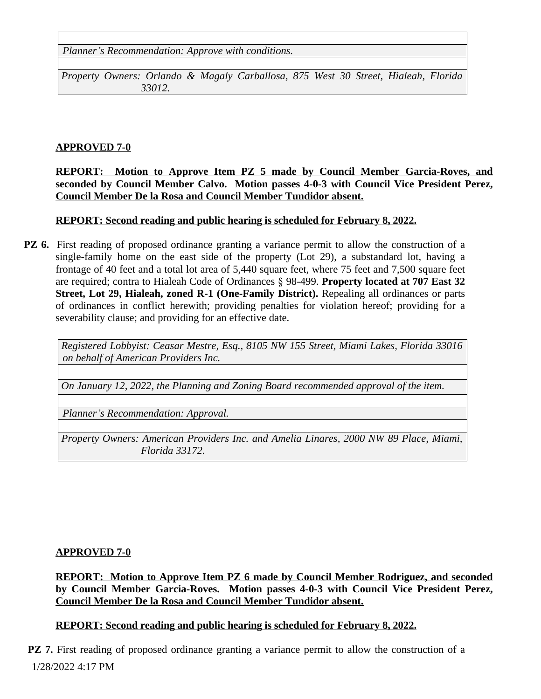*Planner's Recommendation: Approve with conditions.*

*Property Owners: Orlando & Magaly Carballosa, 875 West 30 Street, Hialeah, Florida 33012.*

# **APPROVED 7-0**

#### **REPORT: Motion to Approve Item PZ 5 made by Council Member Garcia-Roves, and seconded by Council Member Calvo. Motion passes 4-0-3 with Council Vice President Perez, Council Member De la Rosa and Council Member Tundidor absent.**

# **REPORT: Second reading and public hearing is scheduled for February 8, 2022.**

**PZ 6.** First reading of proposed ordinance granting a variance permit to allow the construction of a single-family home on the east side of the property (Lot 29), a substandard lot, having a frontage of 40 feet and a total lot area of 5,440 square feet, where 75 feet and 7,500 square feet are required; contra to Hialeah Code of Ordinances § 98-499. **Property located at 707 East 32 Street, Lot 29, Hialeah, zoned R-1 (One-Family District).** Repealing all ordinances or parts of ordinances in conflict herewith; providing penalties for violation hereof; providing for a severability clause; and providing for an effective date.

*Registered Lobbyist: Ceasar Mestre, Esq., 8105 NW 155 Street, Miami Lakes, Florida 33016 on behalf of American Providers Inc.*

*On January 12, 2022, the Planning and Zoning Board recommended approval of the item.*

*Planner's Recommendation: Approval.*

*Property Owners: American Providers Inc. and Amelia Linares, 2000 NW 89 Place, Miami, Florida 33172.*

# **APPROVED 7-0**

**REPORT: Motion to Approve Item PZ 6 made by Council Member Rodriguez, and seconded by Council Member Garcia-Roves. Motion passes 4-0-3 with Council Vice President Perez, Council Member De la Rosa and Council Member Tundidor absent.**

# **REPORT: Second reading and public hearing is scheduled for February 8, 2022.**

1/28/2022 4:17 PM **PZ 7.** First reading of proposed ordinance granting a variance permit to allow the construction of a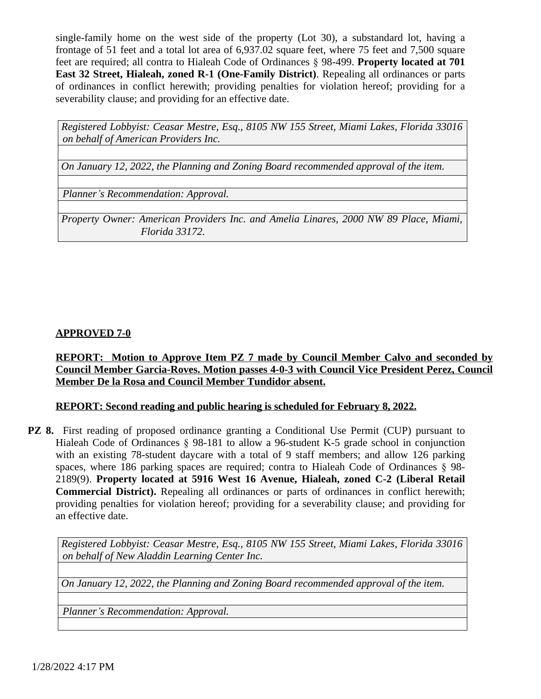single-family home on the west side of the property (Lot 30), a substandard lot, having a frontage of 51 feet and a total lot area of 6,937.02 square feet, where 75 feet and 7,500 square feet are required; all contra to Hialeah Code of Ordinances § 98-499. **Property located at 701 East 32 Street, Hialeah, zoned R-1 (One-Family District)**. Repealing all ordinances or parts of ordinances in conflict herewith; providing penalties for violation hereof; providing for a severability clause; and providing for an effective date.

*Registered Lobbyist: Ceasar Mestre, Esq., 8105 NW 155 Street, Miami Lakes, Florida 33016 on behalf of American Providers Inc.*

*On January 12, 2022, the Planning and Zoning Board recommended approval of the item.*

*Planner's Recommendation: Approval.*

*Property Owner: American Providers Inc. and Amelia Linares, 2000 NW 89 Place, Miami, Florida 33172.*

#### **APPROVED 7-0**

#### **REPORT: Motion to Approve Item PZ 7 made by Council Member Calvo and seconded by Council Member Garcia-Roves. Motion passes 4-0-3 with Council Vice President Perez, Council Member De la Rosa and Council Member Tundidor absent.**

#### **REPORT: Second reading and public hearing is scheduled for February 8, 2022.**

**PZ 8.** First reading of proposed ordinance granting a Conditional Use Permit (CUP) pursuant to Hialeah Code of Ordinances § 98-181 to allow a 96-student K-5 grade school in conjunction with an existing 78-student daycare with a total of 9 staff members; and allow 126 parking spaces, where 186 parking spaces are required; contra to Hialeah Code of Ordinances § 98-2189(9). **Property located at 5916 West 16 Avenue, Hialeah, zoned C-2 (Liberal Retail Commercial District).** Repealing all ordinances or parts of ordinances in conflict herewith; providing penalties for violation hereof; providing for a severability clause; and providing for an effective date.

*Registered Lobbyist: Ceasar Mestre, Esq., 8105 NW 155 Street, Miami Lakes, Florida 33016 on behalf of New Aladdin Learning Center Inc.* 

*On January 12, 2022, the Planning and Zoning Board recommended approval of the item.*

*Planner's Recommendation: Approval.*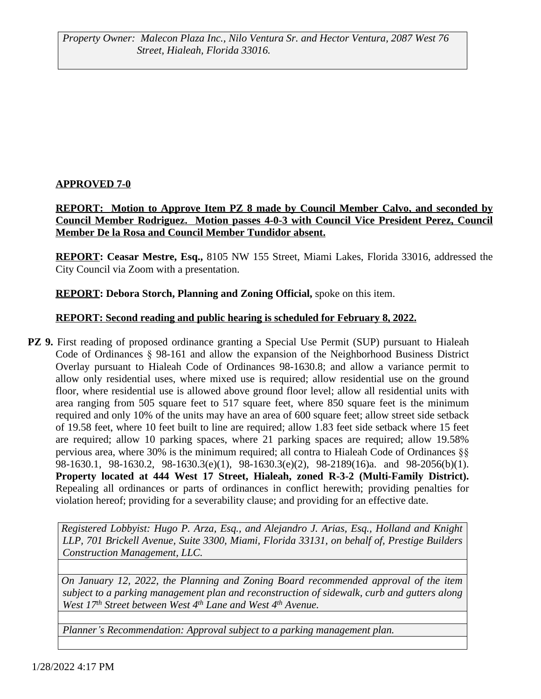**REPORT: Motion to Approve Item PZ 8 made by Council Member Calvo, and seconded by Council Member Rodriguez. Motion passes 4-0-3 with Council Vice President Perez, Council Member De la Rosa and Council Member Tundidor absent.**

**REPORT: Ceasar Mestre, Esq.,** 8105 NW 155 Street, Miami Lakes, Florida 33016, addressed the City Council via Zoom with a presentation.

# **REPORT: Debora Storch, Planning and Zoning Official, spoke on this item.**

#### **REPORT: Second reading and public hearing is scheduled for February 8, 2022.**

**PZ 9.** First reading of proposed ordinance granting a Special Use Permit (SUP) pursuant to Hialeah Code of Ordinances § 98-161 and allow the expansion of the Neighborhood Business District Overlay pursuant to Hialeah Code of Ordinances 98-1630.8; and allow a variance permit to allow only residential uses, where mixed use is required; allow residential use on the ground floor, where residential use is allowed above ground floor level; allow all residential units with area ranging from 505 square feet to 517 square feet, where 850 square feet is the minimum required and only 10% of the units may have an area of 600 square feet; allow street side setback of 19.58 feet, where 10 feet built to line are required; allow 1.83 feet side setback where 15 feet are required; allow 10 parking spaces, where 21 parking spaces are required; allow 19.58% pervious area, where 30% is the minimum required; all contra to Hialeah Code of Ordinances §§ 98-1630.1, 98-1630.2, 98-1630.3(e)(1), 98-1630.3(e)(2), 98-2189(16)a. and 98-2056(b)(1). **Property located at 444 West 17 Street, Hialeah, zoned R-3-2 (Multi-Family District).** Repealing all ordinances or parts of ordinances in conflict herewith; providing penalties for violation hereof; providing for a severability clause; and providing for an effective date.

*Registered Lobbyist: Hugo P. Arza, Esq., and Alejandro J. Arias, Esq., Holland and Knight LLP, 701 Brickell Avenue, Suite 3300, Miami, Florida 33131, on behalf of, Prestige Builders Construction Management, LLC.*

*On January 12, 2022, the Planning and Zoning Board recommended approval of the item subject to a parking management plan and reconstruction of sidewalk, curb and gutters along West 17th Street between West 4th Lane and West 4th Avenue.*

*Planner's Recommendation: Approval subject to a parking management plan.*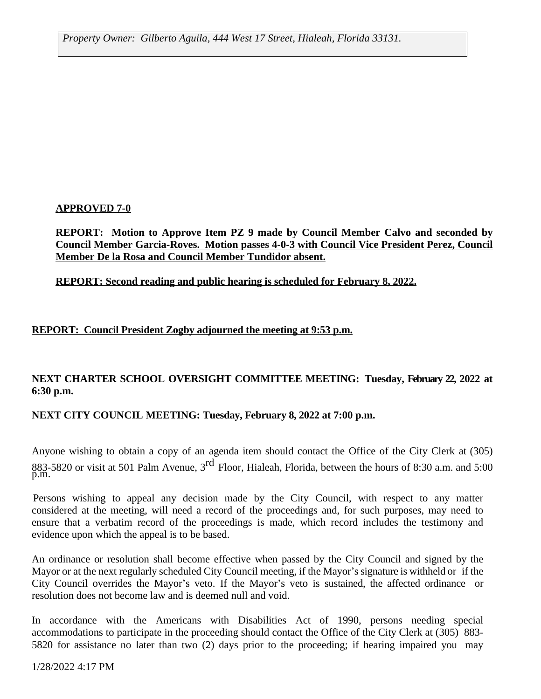*Property Owner: Gilberto Aguila, 444 West 17 Street, Hialeah, Florida 33131.*

# **APPROVED 7-0**

**REPORT: Motion to Approve Item PZ 9 made by Council Member Calvo and seconded by Council Member Garcia-Roves. Motion passes 4-0-3 with Council Vice President Perez, Council Member De la Rosa and Council Member Tundidor absent.**

**REPORT: Second reading and public hearing is scheduled for February 8, 2022.**

# **REPORT: Council President Zogby adjourned the meeting at 9:53 p.m.**

# **NEXT CHARTER SCHOOL OVERSIGHT COMMITTEE MEETING: Tuesday, February 22, 2022 at 6:30 p.m.**

# **NEXT CITY COUNCIL MEETING: Tuesday, February 8, 2022 at 7:00 p.m.**

Anyone wishing to obtain a copy of an agenda item should contact the Office of the City Clerk at (305) 883-5820 or visit at 501 Palm Avenue, 3<sup>rd</sup> Floor, Hialeah, Florida, between the hours of 8:30 a.m. and 5:00 p.m.

Persons wishing to appeal any decision made by the City Council, with respect to any matter considered at the meeting, will need a record of the proceedings and, for such purposes, may need to ensure that a verbatim record of the proceedings is made, which record includes the testimony and evidence upon which the appeal is to be based.

An ordinance or resolution shall become effective when passed by the City Council and signed by the Mayor or at the next regularly scheduled City Council meeting, if the Mayor's signature is withheld or if the City Council overrides the Mayor's veto. If the Mayor's veto is sustained, the affected ordinance or resolution does not become law and is deemed null and void.

In accordance with the Americans with Disabilities Act of 1990, persons needing special accommodations to participate in the proceeding should contact the Office of the City Clerk at (305) 883- 5820 for assistance no later than two (2) days prior to the proceeding; if hearing impaired you may